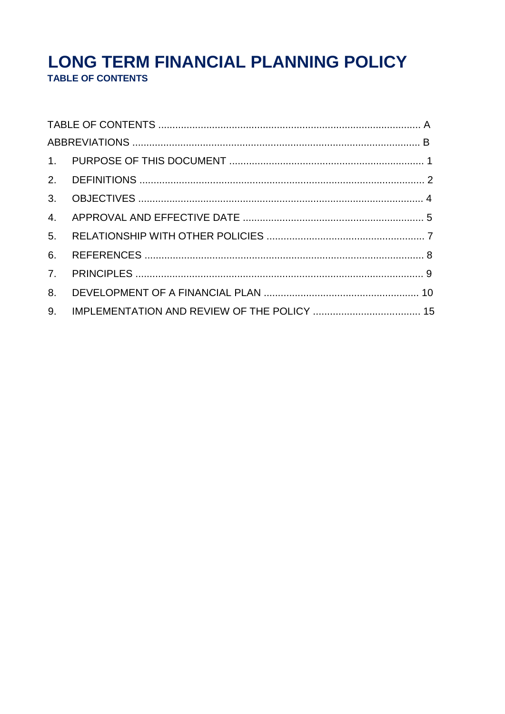# LONG TERM FINANCIAL PLANNING POLICY TABLE OF CONTENTS

| 4. |  |  |  |
|----|--|--|--|
| 5. |  |  |  |
| 6. |  |  |  |
| 7. |  |  |  |
| 8. |  |  |  |
| 9. |  |  |  |
|    |  |  |  |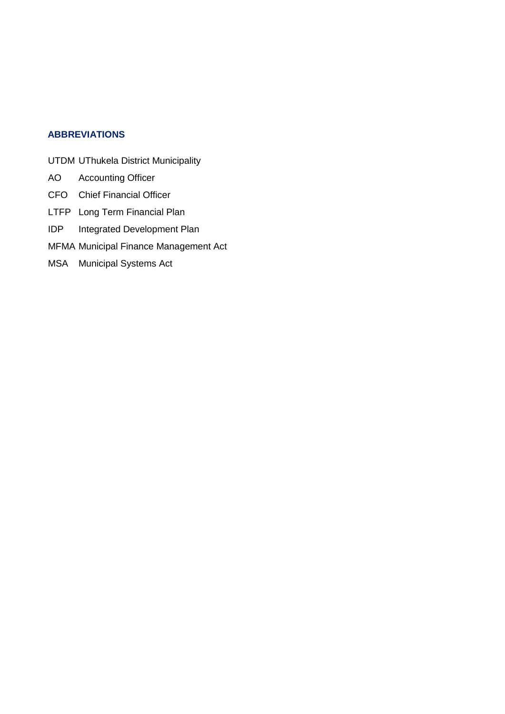#### **ABBREVIATIONS**

- UTDM UThukela District Municipality
- AO Accounting Officer
- CFO Chief Financial Officer
- LTFP Long Term Financial Plan
- IDP Integrated Development Plan
- MFMA Municipal Finance Management Act
- MSA Municipal Systems Act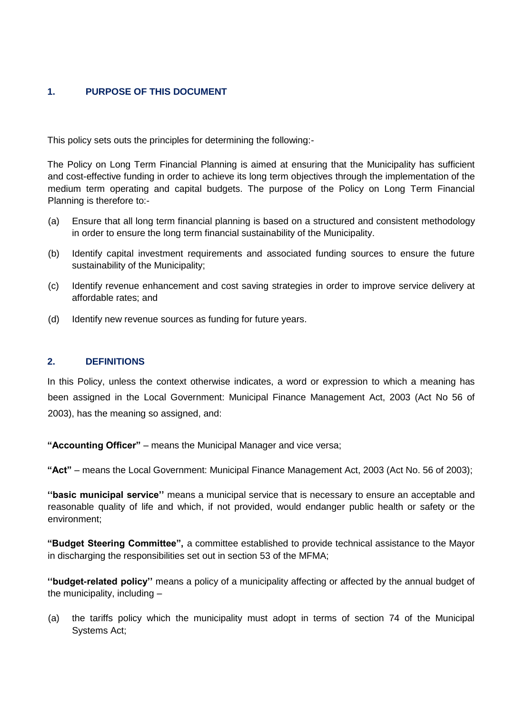## **1. PURPOSE OF THIS DOCUMENT**

This policy sets outs the principles for determining the following:-

The Policy on Long Term Financial Planning is aimed at ensuring that the Municipality has sufficient and cost-effective funding in order to achieve its long term objectives through the implementation of the medium term operating and capital budgets. The purpose of the Policy on Long Term Financial Planning is therefore to:-

- (a) Ensure that all long term financial planning is based on a structured and consistent methodology in order to ensure the long term financial sustainability of the Municipality.
- (b) Identify capital investment requirements and associated funding sources to ensure the future sustainability of the Municipality;
- (c) Identify revenue enhancement and cost saving strategies in order to improve service delivery at affordable rates; and
- (d) Identify new revenue sources as funding for future years.

#### **2. DEFINITIONS**

In this Policy, unless the context otherwise indicates, a word or expression to which a meaning has been assigned in the Local Government: Municipal Finance Management Act, 2003 (Act No 56 of 2003), has the meaning so assigned, and:

**"Accounting Officer"** – means the Municipal Manager and vice versa;

**"Act"** – means the Local Government: Municipal Finance Management Act, 2003 (Act No. 56 of 2003);

**''basic municipal service''** means a municipal service that is necessary to ensure an acceptable and reasonable quality of life and which, if not provided, would endanger public health or safety or the environment;

**"Budget Steering Committee",** a committee established to provide technical assistance to the Mayor in discharging the responsibilities set out in section 53 of the MFMA;

**''budget-related policy''** means a policy of a municipality affecting or affected by the annual budget of the municipality, including –

(a) the tariffs policy which the municipality must adopt in terms of section 74 of the Municipal Systems Act;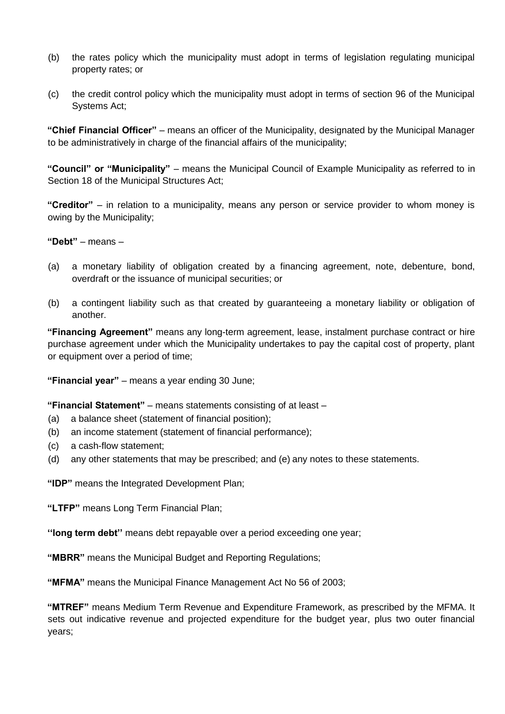- (b) the rates policy which the municipality must adopt in terms of legislation regulating municipal property rates; or
- (c) the credit control policy which the municipality must adopt in terms of section 96 of the Municipal Systems Act;

**"Chief Financial Officer"** – means an officer of the Municipality, designated by the Municipal Manager to be administratively in charge of the financial affairs of the municipality;

**"Council" or "Municipality"** – means the Municipal Council of Example Municipality as referred to in Section 18 of the Municipal Structures Act;

**"Creditor"** – in relation to a municipality, means any person or service provider to whom money is owing by the Municipality;

**"Debt"** – means –

- (a) a monetary liability of obligation created by a financing agreement, note, debenture, bond, overdraft or the issuance of municipal securities; or
- (b) a contingent liability such as that created by guaranteeing a monetary liability or obligation of another.

**"Financing Agreement"** means any long-term agreement, lease, instalment purchase contract or hire purchase agreement under which the Municipality undertakes to pay the capital cost of property, plant or equipment over a period of time;

**"Financial year"** – means a year ending 30 June;

**"Financial Statement"** – means statements consisting of at least –

- (a) a balance sheet (statement of financial position);
- (b) an income statement (statement of financial performance);
- (c) a cash-flow statement;
- (d) any other statements that may be prescribed; and (e) any notes to these statements.

**"IDP"** means the Integrated Development Plan;

**"LTFP"** means Long Term Financial Plan;

**''long term debt''** means debt repayable over a period exceeding one year;

**"MBRR"** means the Municipal Budget and Reporting Regulations;

**"MFMA"** means the Municipal Finance Management Act No 56 of 2003;

**"MTREF"** means Medium Term Revenue and Expenditure Framework, as prescribed by the MFMA. It sets out indicative revenue and projected expenditure for the budget year, plus two outer financial years;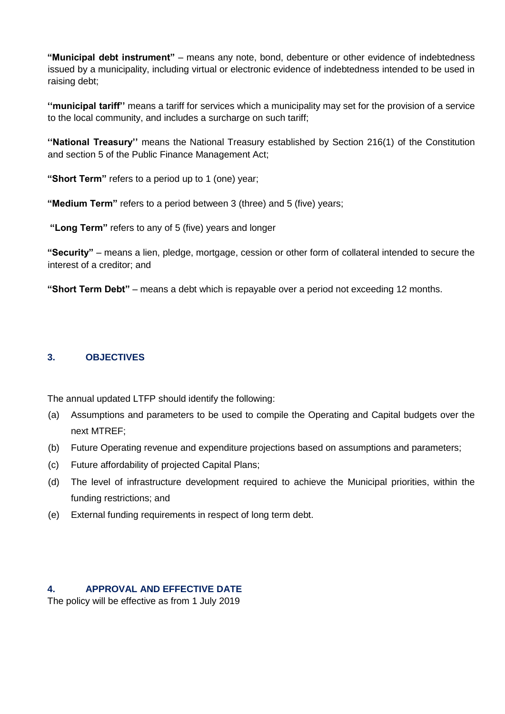**"Municipal debt instrument"** – means any note, bond, debenture or other evidence of indebtedness issued by a municipality, including virtual or electronic evidence of indebtedness intended to be used in raising debt;

**''municipal tariff''** means a tariff for services which a municipality may set for the provision of a service to the local community, and includes a surcharge on such tariff;

**''National Treasury''** means the National Treasury established by Section 216(1) of the Constitution and section 5 of the Public Finance Management Act;

**"Short Term"** refers to a period up to 1 (one) year;

**"Medium Term"** refers to a period between 3 (three) and 5 (five) years;

**"Long Term"** refers to any of 5 (five) years and longer

**"Security"** – means a lien, pledge, mortgage, cession or other form of collateral intended to secure the interest of a creditor; and

**"Short Term Debt"** – means a debt which is repayable over a period not exceeding 12 months.

#### **3. OBJECTIVES**

The annual updated LTFP should identify the following:

- (a) Assumptions and parameters to be used to compile the Operating and Capital budgets over the next MTREF;
- (b) Future Operating revenue and expenditure projections based on assumptions and parameters;
- (c) Future affordability of projected Capital Plans;
- (d) The level of infrastructure development required to achieve the Municipal priorities, within the funding restrictions; and
- (e) External funding requirements in respect of long term debt.

#### **4. APPROVAL AND EFFECTIVE DATE**

The policy will be effective as from 1 July 2019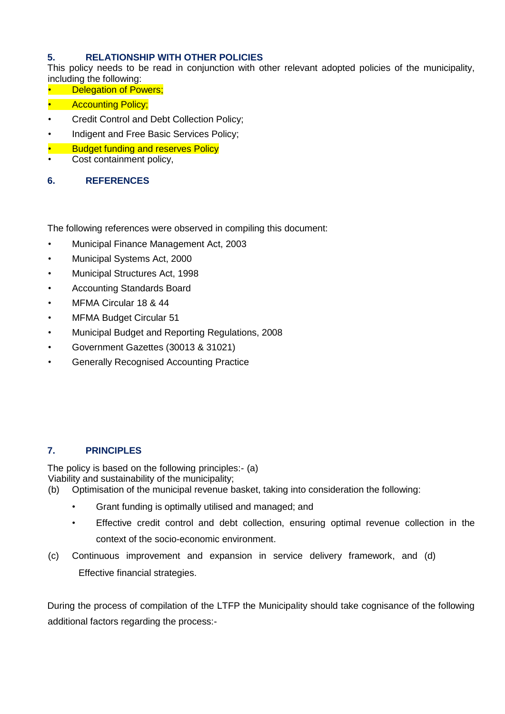## **5. RELATIONSHIP WITH OTHER POLICIES**

This policy needs to be read in conjunction with other relevant adopted policies of the municipality, including the following:

- **Delegation of Powers;**
- **Accounting Policy;**
- Credit Control and Debt Collection Policy;
- Indigent and Free Basic Services Policy;
- **Budget funding and reserves Policy**
- Cost containment policy,
- **6. REFERENCES**

The following references were observed in compiling this document:

- Municipal Finance Management Act, 2003
- Municipal Systems Act, 2000
- Municipal Structures Act, 1998
- Accounting Standards Board
- MFMA Circular 18 & 44
- MFMA Budget Circular 51
- Municipal Budget and Reporting Regulations, 2008
- Government Gazettes (30013 & 31021)
- Generally Recognised Accounting Practice

#### **7. PRINCIPLES**

The policy is based on the following principles:- (a) Viability and sustainability of the municipality;

- (b) Optimisation of the municipal revenue basket, taking into consideration the following:
	- Grant funding is optimally utilised and managed; and
	- Effective credit control and debt collection, ensuring optimal revenue collection in the context of the socio-economic environment.
- (c) Continuous improvement and expansion in service delivery framework, and (d) Effective financial strategies.

During the process of compilation of the LTFP the Municipality should take cognisance of the following additional factors regarding the process:-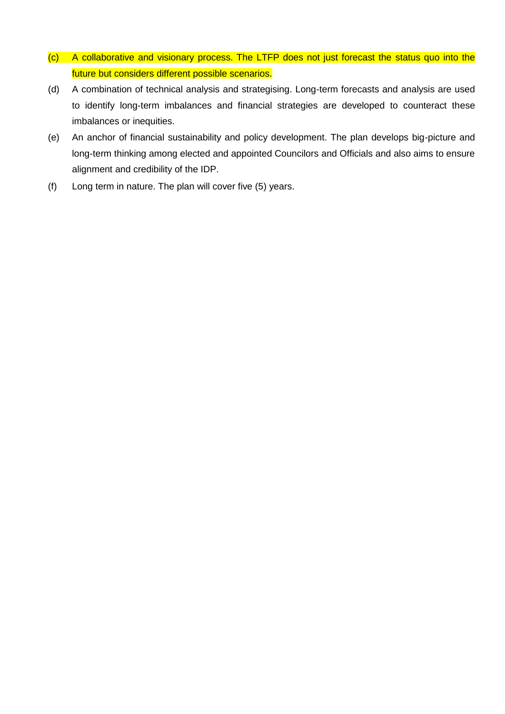- (c) A collaborative and visionary process. The LTFP does not just forecast the status quo into the future but considers different possible scenarios.
- (d) A combination of technical analysis and strategising. Long-term forecasts and analysis are used to identify long-term imbalances and financial strategies are developed to counteract these imbalances or inequities.
- (e) An anchor of financial sustainability and policy development. The plan develops big-picture and long-term thinking among elected and appointed Councilors and Officials and also aims to ensure alignment and credibility of the IDP.
- (f) Long term in nature. The plan will cover five (5) years.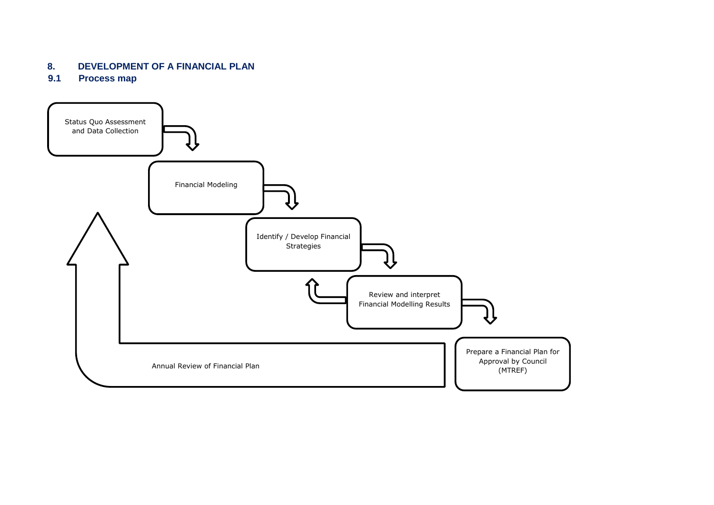# **8. DEVELOPMENT OF A FINANCIAL PLAN**

**9.1 Process map** 

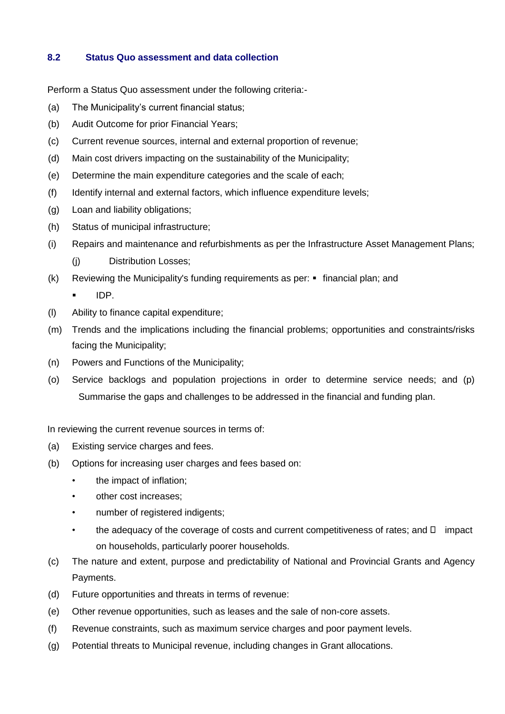#### **8.2 Status Quo assessment and data collection**

Perform a Status Quo assessment under the following criteria:-

- (a) The Municipality's current financial status;
- (b) Audit Outcome for prior Financial Years;
- (c) Current revenue sources, internal and external proportion of revenue;
- (d) Main cost drivers impacting on the sustainability of the Municipality;
- (e) Determine the main expenditure categories and the scale of each;
- (f) Identify internal and external factors, which influence expenditure levels;
- (g) Loan and liability obligations;
- (h) Status of municipal infrastructure;
- (i) Repairs and maintenance and refurbishments as per the Infrastructure Asset Management Plans;
	- (j) Distribution Losses;
- (k) Reviewing the Municipality's funding requirements as per: financial plan; and
	- IDP.
- (l) Ability to finance capital expenditure;
- (m) Trends and the implications including the financial problems; opportunities and constraints/risks facing the Municipality;
- (n) Powers and Functions of the Municipality;
- (o) Service backlogs and population projections in order to determine service needs; and (p) Summarise the gaps and challenges to be addressed in the financial and funding plan.

In reviewing the current revenue sources in terms of:

- (a) Existing service charges and fees.
- (b) Options for increasing user charges and fees based on:
	- the impact of inflation;
	- other cost increases;
	- number of registered indigents;
	- the adequacy of the coverage of costs and current competitiveness of rates; and  $\Box$  impact on households, particularly poorer households.
- (c) The nature and extent, purpose and predictability of National and Provincial Grants and Agency Payments.
- (d) Future opportunities and threats in terms of revenue:
- (e) Other revenue opportunities, such as leases and the sale of non-core assets.
- (f) Revenue constraints, such as maximum service charges and poor payment levels.
- (g) Potential threats to Municipal revenue, including changes in Grant allocations.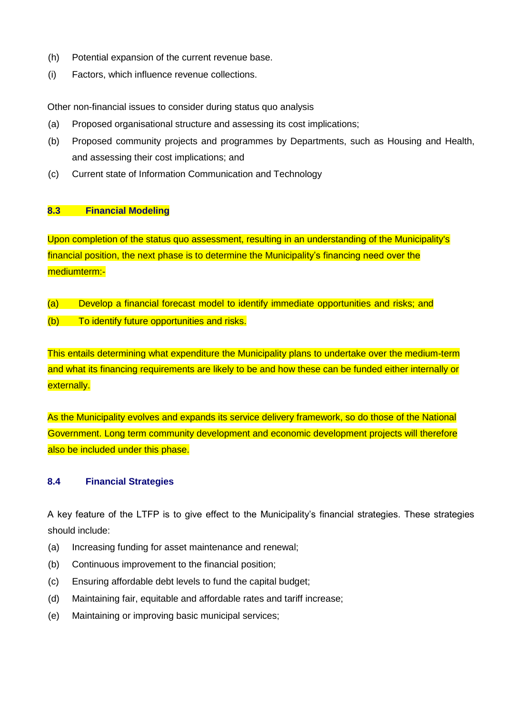- (h) Potential expansion of the current revenue base.
- (i) Factors, which influence revenue collections.

Other non-financial issues to consider during status quo analysis

- (a) Proposed organisational structure and assessing its cost implications;
- (b) Proposed community projects and programmes by Departments, such as Housing and Health, and assessing their cost implications; and
- (c) Current state of Information Communication and Technology

#### **8.3 Financial Modeling**

Upon completion of the status quo assessment, resulting in an understanding of the Municipality's financial position, the next phase is to determine the Municipality's financing need over the mediumterm:-

- (a) Develop a financial forecast model to identify immediate opportunities and risks; and
- (b) To identify future opportunities and risks.

This entails determining what expenditure the Municipality plans to undertake over the medium-term and what its financing requirements are likely to be and how these can be funded either internally or externally.

As the Municipality evolves and expands its service delivery framework, so do those of the National Government. Long term community development and economic development projects will therefore also be included under this phase.

#### **8.4 Financial Strategies**

A key feature of the LTFP is to give effect to the Municipality's financial strategies. These strategies should include:

- (a) Increasing funding for asset maintenance and renewal;
- (b) Continuous improvement to the financial position;
- (c) Ensuring affordable debt levels to fund the capital budget;
- (d) Maintaining fair, equitable and affordable rates and tariff increase;
- (e) Maintaining or improving basic municipal services;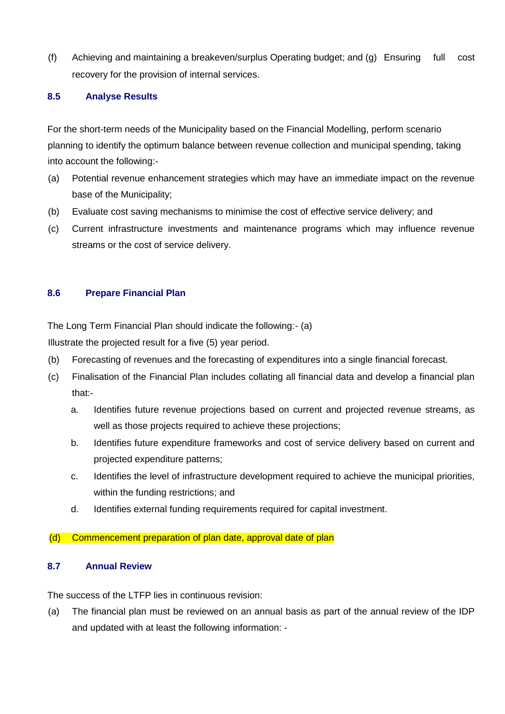(f) Achieving and maintaining a breakeven/surplus Operating budget; and (g) Ensuring full cost recovery for the provision of internal services.

#### **8.5 Analyse Results**

For the short-term needs of the Municipality based on the Financial Modelling, perform scenario planning to identify the optimum balance between revenue collection and municipal spending, taking into account the following:-

- (a) Potential revenue enhancement strategies which may have an immediate impact on the revenue base of the Municipality;
- (b) Evaluate cost saving mechanisms to minimise the cost of effective service delivery; and
- (c) Current infrastructure investments and maintenance programs which may influence revenue streams or the cost of service delivery.

#### **8.6 Prepare Financial Plan**

The Long Term Financial Plan should indicate the following:- (a)

Illustrate the projected result for a five (5) year period.

- (b) Forecasting of revenues and the forecasting of expenditures into a single financial forecast.
- (c) Finalisation of the Financial Plan includes collating all financial data and develop a financial plan that:
	- a. Identifies future revenue projections based on current and projected revenue streams, as well as those projects required to achieve these projections;
	- b. Identifies future expenditure frameworks and cost of service delivery based on current and projected expenditure patterns;
	- c. Identifies the level of infrastructure development required to achieve the municipal priorities, within the funding restrictions; and
	- d. Identifies external funding requirements required for capital investment.

#### (d) Commencement preparation of plan date, approval date of plan

#### **8.7 Annual Review**

The success of the LTFP lies in continuous revision:

(a) The financial plan must be reviewed on an annual basis as part of the annual review of the IDP and updated with at least the following information: -